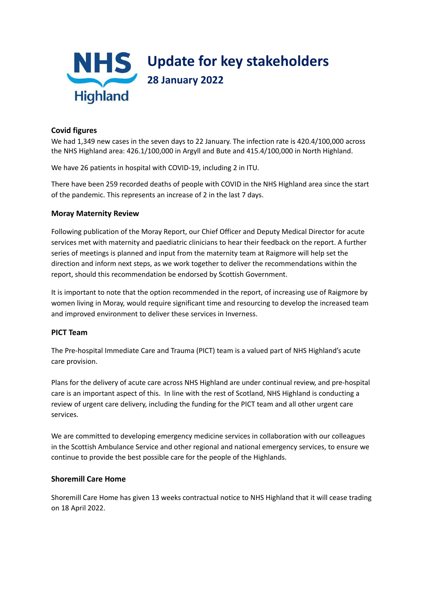

## **Covid figures**

We had 1,349 new cases in the seven days to 22 January. The infection rate is 420.4/100,000 across the NHS Highland area: 426.1/100,000 in Argyll and Bute and 415.4/100,000 in North Highland.

We have 26 patients in hospital with COVID-19, including 2 in ITU.

There have been 259 recorded deaths of people with COVID in the NHS Highland area since the start of the pandemic. This represents an increase of 2 in the last 7 days.

#### **Moray Maternity Review**

Following publication of the Moray Report, our Chief Officer and Deputy Medical Director for acute services met with maternity and paediatric clinicians to hear their feedback on the report. A further series of meetings is planned and input from the maternity team at Raigmore will help set the direction and inform next steps, as we work together to deliver the recommendations within the report, should this recommendation be endorsed by Scottish Government.

It is important to note that the option recommended in the report, of increasing use of Raigmore by women living in Moray, would require significant time and resourcing to develop the increased team and improved environment to deliver these services in Inverness.

### **PICT Team**

The Pre-hospital Immediate Care and Trauma (PICT) team is a valued part of NHS Highland's acute care provision.

Plans for the delivery of acute care across NHS Highland are under continual review, and pre-hospital care is an important aspect of this. In line with the rest of Scotland, NHS Highland is conducting a review of urgent care delivery, including the funding for the PICT team and all other urgent care services.

We are committed to developing emergency medicine services in collaboration with our colleagues in the Scottish Ambulance Service and other regional and national emergency services, to ensure we continue to provide the best possible care for the people of the Highlands.

### **Shoremill Care Home**

Shoremill Care Home has given 13 weeks contractual notice to NHS Highland that it will cease trading on 18 April 2022.